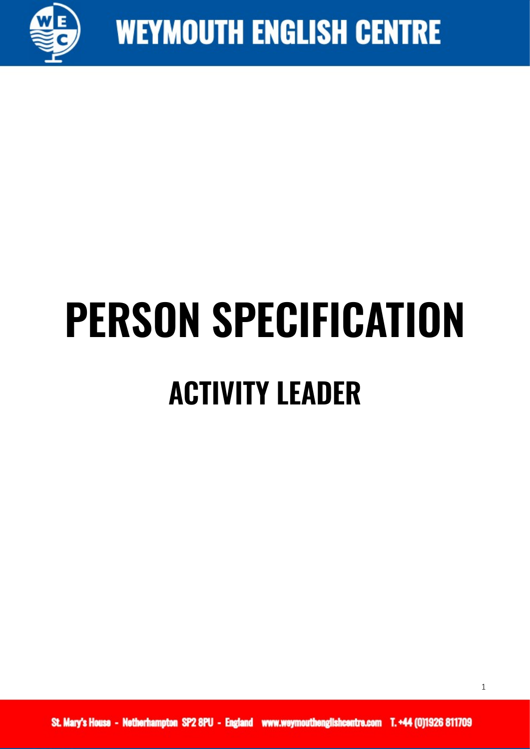

## **PERSON SPECIFICATION ACTIVITY LEADER**